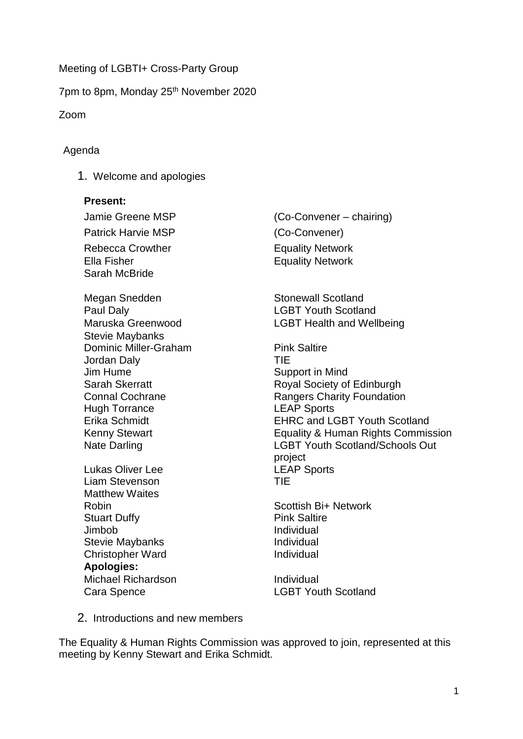Meeting of LGBTI+ Cross-Party Group

7pm to 8pm, Monday 25th November 2020

Zoom

#### Agenda

1. Welcome and apologies

#### **Present:**

Patrick Harvie MSP (Co-Convener) Rebecca Crowther **Equality Network** Ella Fisher **Ella Fisher** Equality Network Sarah McBride

Megan Snedden Stonewall Scotland Paul Daly **Data Community Contract Contract Contract Contract Contract Contract Contract Contract Contract Contract Contract Contract Contract Contract Contract Contract Contract Contract Contract Contract Contract Contrac** Stevie Maybanks Dominic Miller-Graham Jordan Daly Jim Hume Sarah Skerratt Connal Cochrane Hugh Torrance Erika Schmidt Kenny Stewart Nate Darling

Lukas Oliver Lee Liam Stevenson Matthew Waites Robin Stuart Duffy Jimbob Stevie Maybanks Christopher Ward **Apologies:** Michael Richardson **Individual** 

Jamie Greene MSP (Co-Convener – chairing)

Maruska Greenwood **LGBT** Health and Wellbeing

Pink Saltire TIE Support in Mind Royal Society of Edinburgh Rangers Charity Foundation LEAP Sports EHRC and LGBT Youth Scotland Equality & Human Rights Commission LGBT Youth Scotland/Schools Out project LEAP Sports TIE

Scottish Bi+ Network Pink Saltire Individual Individual Individual

Cara Spence LGBT Youth Scotland

2. Introductions and new members

The Equality & Human Rights Commission was approved to join, represented at this meeting by Kenny Stewart and Erika Schmidt.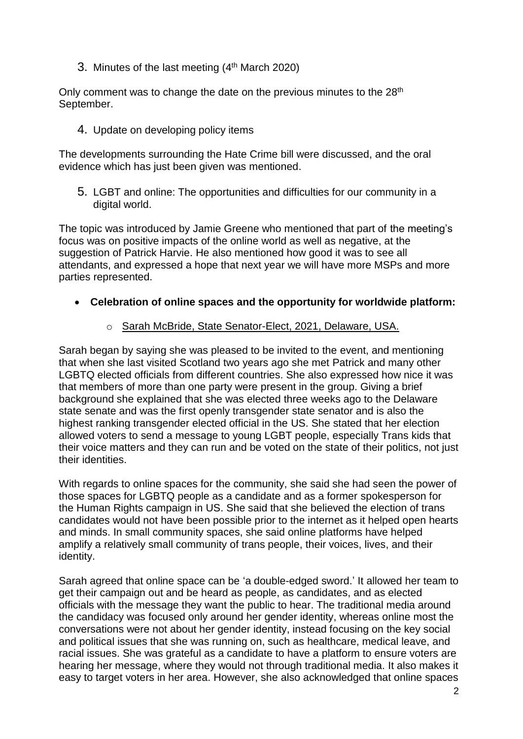3. Minutes of the last meeting (4<sup>th</sup> March 2020)

Only comment was to change the date on the previous minutes to the 28<sup>th</sup> September.

4. Update on developing policy items

The developments surrounding the Hate Crime bill were discussed, and the oral evidence which has just been given was mentioned.

5. LGBT and online: The opportunities and difficulties for our community in a digital world.

The topic was introduced by Jamie Greene who mentioned that part of the meeting's focus was on positive impacts of the online world as well as negative, at the suggestion of Patrick Harvie. He also mentioned how good it was to see all attendants, and expressed a hope that next year we will have more MSPs and more parties represented.

- **Celebration of online spaces and the opportunity for worldwide platform:**
	- o Sarah McBride, State Senator-Elect, 2021, Delaware, USA.

Sarah began by saying she was pleased to be invited to the event, and mentioning that when she last visited Scotland two years ago she met Patrick and many other LGBTQ elected officials from different countries. She also expressed how nice it was that members of more than one party were present in the group. Giving a brief background she explained that she was elected three weeks ago to the Delaware state senate and was the first openly transgender state senator and is also the highest ranking transgender elected official in the US. She stated that her election allowed voters to send a message to young LGBT people, especially Trans kids that their voice matters and they can run and be voted on the state of their politics, not just their identities.

With regards to online spaces for the community, she said she had seen the power of those spaces for LGBTQ people as a candidate and as a former spokesperson for the Human Rights campaign in US. She said that she believed the election of trans candidates would not have been possible prior to the internet as it helped open hearts and minds. In small community spaces, she said online platforms have helped amplify a relatively small community of trans people, their voices, lives, and their identity.

Sarah agreed that online space can be 'a double-edged sword.' It allowed her team to get their campaign out and be heard as people, as candidates, and as elected officials with the message they want the public to hear. The traditional media around the candidacy was focused only around her gender identity, whereas online most the conversations were not about her gender identity, instead focusing on the key social and political issues that she was running on, such as healthcare, medical leave, and racial issues. She was grateful as a candidate to have a platform to ensure voters are hearing her message, where they would not through traditional media. It also makes it easy to target voters in her area. However, she also acknowledged that online spaces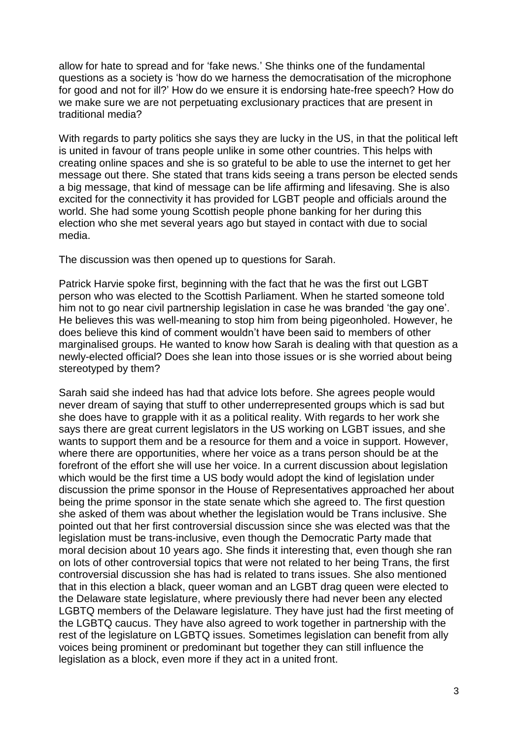allow for hate to spread and for 'fake news.' She thinks one of the fundamental questions as a society is 'how do we harness the democratisation of the microphone for good and not for ill?' How do we ensure it is endorsing hate-free speech? How do we make sure we are not perpetuating exclusionary practices that are present in traditional media?

With regards to party politics she says they are lucky in the US, in that the political left is united in favour of trans people unlike in some other countries. This helps with creating online spaces and she is so grateful to be able to use the internet to get her message out there. She stated that trans kids seeing a trans person be elected sends a big message, that kind of message can be life affirming and lifesaving. She is also excited for the connectivity it has provided for LGBT people and officials around the world. She had some young Scottish people phone banking for her during this election who she met several years ago but stayed in contact with due to social media.

The discussion was then opened up to questions for Sarah.

Patrick Harvie spoke first, beginning with the fact that he was the first out LGBT person who was elected to the Scottish Parliament. When he started someone told him not to go near civil partnership legislation in case he was branded 'the gay one'. He believes this was well-meaning to stop him from being pigeonholed. However, he does believe this kind of comment wouldn't have been said to members of other marginalised groups. He wanted to know how Sarah is dealing with that question as a newly-elected official? Does she lean into those issues or is she worried about being stereotyped by them?

Sarah said she indeed has had that advice lots before. She agrees people would never dream of saying that stuff to other underrepresented groups which is sad but she does have to grapple with it as a political reality. With regards to her work she says there are great current legislators in the US working on LGBT issues, and she wants to support them and be a resource for them and a voice in support. However, where there are opportunities, where her voice as a trans person should be at the forefront of the effort she will use her voice. In a current discussion about legislation which would be the first time a US body would adopt the kind of legislation under discussion the prime sponsor in the House of Representatives approached her about being the prime sponsor in the state senate which she agreed to. The first question she asked of them was about whether the legislation would be Trans inclusive. She pointed out that her first controversial discussion since she was elected was that the legislation must be trans-inclusive, even though the Democratic Party made that moral decision about 10 years ago. She finds it interesting that, even though she ran on lots of other controversial topics that were not related to her being Trans, the first controversial discussion she has had is related to trans issues. She also mentioned that in this election a black, queer woman and an LGBT drag queen were elected to the Delaware state legislature, where previously there had never been any elected LGBTQ members of the Delaware legislature. They have just had the first meeting of the LGBTQ caucus. They have also agreed to work together in partnership with the rest of the legislature on LGBTQ issues. Sometimes legislation can benefit from ally voices being prominent or predominant but together they can still influence the legislation as a block, even more if they act in a united front.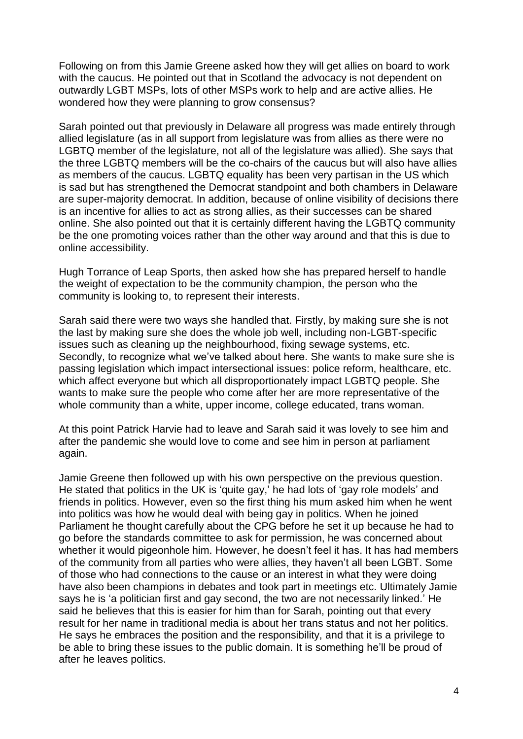Following on from this Jamie Greene asked how they will get allies on board to work with the caucus. He pointed out that in Scotland the advocacy is not dependent on outwardly LGBT MSPs, lots of other MSPs work to help and are active allies. He wondered how they were planning to grow consensus?

Sarah pointed out that previously in Delaware all progress was made entirely through allied legislature (as in all support from legislature was from allies as there were no LGBTQ member of the legislature, not all of the legislature was allied). She says that the three LGBTQ members will be the co-chairs of the caucus but will also have allies as members of the caucus. LGBTQ equality has been very partisan in the US which is sad but has strengthened the Democrat standpoint and both chambers in Delaware are super-majority democrat. In addition, because of online visibility of decisions there is an incentive for allies to act as strong allies, as their successes can be shared online. She also pointed out that it is certainly different having the LGBTQ community be the one promoting voices rather than the other way around and that this is due to online accessibility.

Hugh Torrance of Leap Sports, then asked how she has prepared herself to handle the weight of expectation to be the community champion, the person who the community is looking to, to represent their interests.

Sarah said there were two ways she handled that. Firstly, by making sure she is not the last by making sure she does the whole job well, including non-LGBT-specific issues such as cleaning up the neighbourhood, fixing sewage systems, etc. Secondly, to recognize what we've talked about here. She wants to make sure she is passing legislation which impact intersectional issues: police reform, healthcare, etc. which affect everyone but which all disproportionately impact LGBTQ people. She wants to make sure the people who come after her are more representative of the whole community than a white, upper income, college educated, trans woman.

At this point Patrick Harvie had to leave and Sarah said it was lovely to see him and after the pandemic she would love to come and see him in person at parliament again.

Jamie Greene then followed up with his own perspective on the previous question. He stated that politics in the UK is 'quite gay,' he had lots of 'gay role models' and friends in politics. However, even so the first thing his mum asked him when he went into politics was how he would deal with being gay in politics. When he joined Parliament he thought carefully about the CPG before he set it up because he had to go before the standards committee to ask for permission, he was concerned about whether it would pigeonhole him. However, he doesn't feel it has. It has had members of the community from all parties who were allies, they haven't all been LGBT. Some of those who had connections to the cause or an interest in what they were doing have also been champions in debates and took part in meetings etc. Ultimately Jamie says he is 'a politician first and gay second, the two are not necessarily linked.' He said he believes that this is easier for him than for Sarah, pointing out that every result for her name in traditional media is about her trans status and not her politics. He says he embraces the position and the responsibility, and that it is a privilege to be able to bring these issues to the public domain. It is something he'll be proud of after he leaves politics.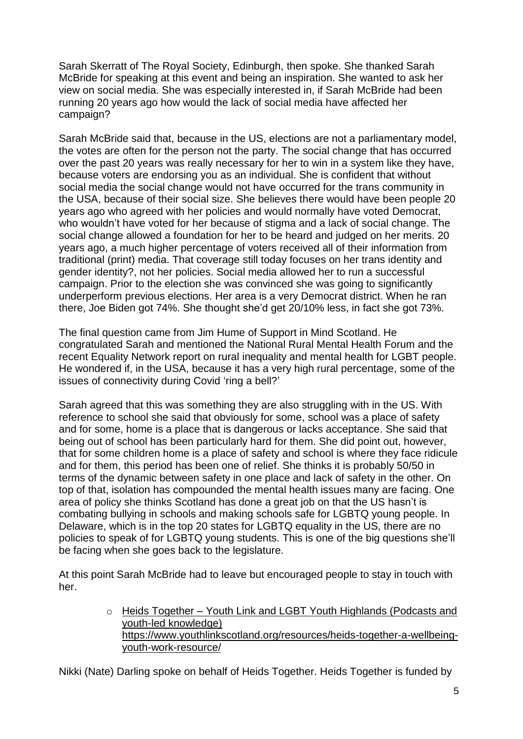Sarah Skerratt of The Royal Society, Edinburgh, then spoke. She thanked Sarah McBride for speaking at this event and being an inspiration. She wanted to ask her view on social media. She was especially interested in, if Sarah McBride had been running 20 years ago how would the lack of social media have affected her campaign?

Sarah McBride said that, because in the US, elections are not a parliamentary model, the votes are often for the person not the party. The social change that has occurred over the past 20 years was really necessary for her to win in a system like they have, because voters are endorsing you as an individual. She is confident that without social media the social change would not have occurred for the trans community in the USA, because of their social size. She believes there would have been people 20 years ago who agreed with her policies and would normally have voted Democrat, who wouldn't have voted for her because of stigma and a lack of social change. The social change allowed a foundation for her to be heard and judged on her merits. 20 years ago, a much higher percentage of voters received all of their information from traditional (print) media. That coverage still today focuses on her trans identity and gender identity?, not her policies. Social media allowed her to run a successful campaign. Prior to the election she was convinced she was going to significantly underperform previous elections. Her area is a very Democrat district. When he ran there, Joe Biden got 74%. She thought she'd get 20/10% less, in fact she got 73%.

The final question came from Jim Hume of Support in Mind Scotland. He congratulated Sarah and mentioned the National Rural Mental Health Forum and the recent Equality Network report on rural inequality and mental health for LGBT people. He wondered if, in the USA, because it has a very high rural percentage, some of the issues of connectivity during Covid 'ring a bell?'

Sarah agreed that this was something they are also struggling with in the US. With reference to school she said that obviously for some, school was a place of safety and for some, home is a place that is dangerous or lacks acceptance. She said that being out of school has been particularly hard for them. She did point out, however, that for some children home is a place of safety and school is where they face ridicule and for them, this period has been one of relief. She thinks it is probably 50/50 in terms of the dynamic between safety in one place and lack of safety in the other. On top of that, isolation has compounded the mental health issues many are facing. One area of policy she thinks Scotland has done a great job on that the US hasn't is combating bullying in schools and making schools safe for LGBTQ young people. In Delaware, which is in the top 20 states for LGBTQ equality in the US, there are no policies to speak of for LGBTQ young students. This is one of the big questions she'll be facing when she goes back to the legislature.

At this point Sarah McBride had to leave but encouraged people to stay in touch with her.

> o Heids Together – Youth Link and LGBT Youth Highlands (Podcasts and youth-led knowledge) [https://www.youthlinkscotland.org/resources/heids-together-a-wellbeing](https://www.youthlinkscotland.org/resources/heids-together-a-wellbeing-youth-work-resource/)[youth-work-resource/](https://www.youthlinkscotland.org/resources/heids-together-a-wellbeing-youth-work-resource/)

Nikki (Nate) Darling spoke on behalf of Heids Together. Heids Together is funded by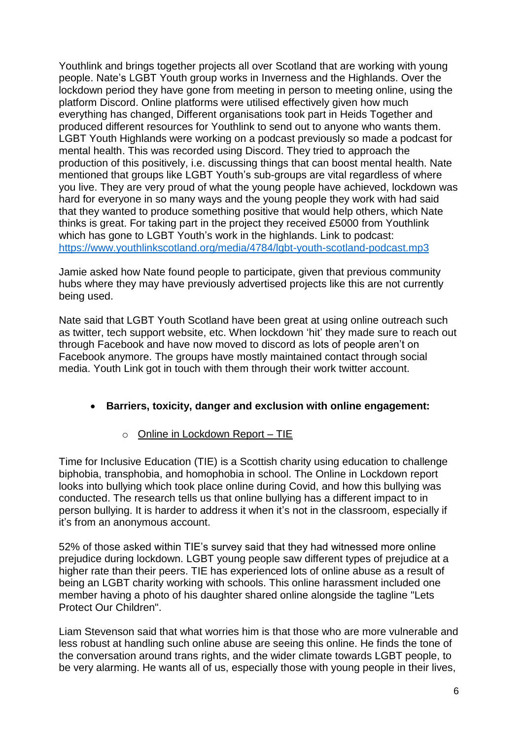Youthlink and brings together projects all over Scotland that are working with young people. Nate's LGBT Youth group works in Inverness and the Highlands. Over the lockdown period they have gone from meeting in person to meeting online, using the platform Discord. Online platforms were utilised effectively given how much everything has changed, Different organisations took part in Heids Together and produced different resources for Youthlink to send out to anyone who wants them. LGBT Youth Highlands were working on a podcast previously so made a podcast for mental health. This was recorded using Discord. They tried to approach the production of this positively, i.e. discussing things that can boost mental health. Nate mentioned that groups like LGBT Youth's sub-groups are vital regardless of where you live. They are very proud of what the young people have achieved, lockdown was hard for everyone in so many ways and the young people they work with had said that they wanted to produce something positive that would help others, which Nate thinks is great. For taking part in the project they received £5000 from Youthlink which has gone to LGBT Youth's work in the highlands. Link to podcast: <https://www.youthlinkscotland.org/media/4784/lgbt-youth-scotland-podcast.mp3>

Jamie asked how Nate found people to participate, given that previous community hubs where they may have previously advertised projects like this are not currently being used.

Nate said that LGBT Youth Scotland have been great at using online outreach such as twitter, tech support website, etc. When lockdown 'hit' they made sure to reach out through Facebook and have now moved to discord as lots of people aren't on Facebook anymore. The groups have mostly maintained contact through social media. Youth Link got in touch with them through their work twitter account.

# • **Barriers, toxicity, danger and exclusion with online engagement:**

# o Online in Lockdown Report – TIE

Time for Inclusive Education (TIE) is a Scottish charity using education to challenge biphobia, transphobia, and homophobia in school. The Online in Lockdown report looks into bullying which took place online during Covid, and how this bullying was conducted. The research tells us that online bullying has a different impact to in person bullying. It is harder to address it when it's not in the classroom, especially if it's from an anonymous account.

52% of those asked within TIE's survey said that they had witnessed more online prejudice during lockdown. LGBT young people saw different types of prejudice at a higher rate than their peers. TIE has experienced lots of online abuse as a result of being an LGBT charity working with schools. This online harassment included one member having a photo of his daughter shared online alongside the tagline "Lets Protect Our Children".

Liam Stevenson said that what worries him is that those who are more vulnerable and less robust at handling such online abuse are seeing this online. He finds the tone of the conversation around trans rights, and the wider climate towards LGBT people, to be very alarming. He wants all of us, especially those with young people in their lives,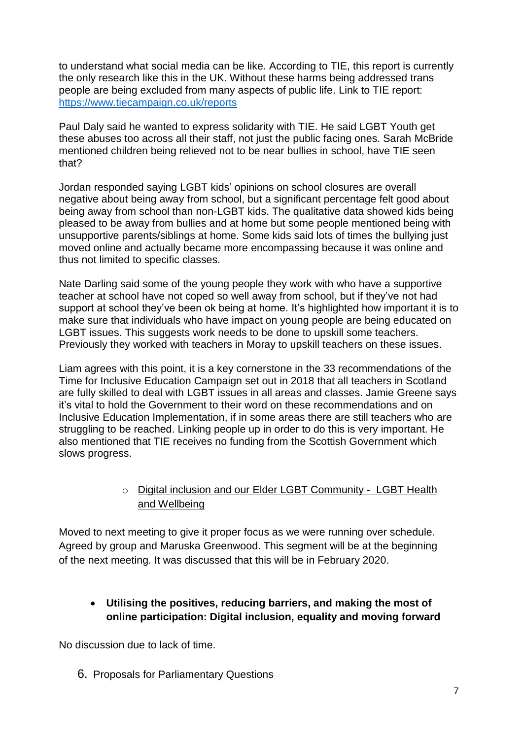to understand what social media can be like. According to TIE, this report is currently the only research like this in the UK. Without these harms being addressed trans people are being excluded from many aspects of public life. Link to TIE report: <https://www.tiecampaign.co.uk/reports>

Paul Daly said he wanted to express solidarity with TIE. He said LGBT Youth get these abuses too across all their staff, not just the public facing ones. Sarah McBride mentioned children being relieved not to be near bullies in school, have TIE seen that?

Jordan responded saying LGBT kids' opinions on school closures are overall negative about being away from school, but a significant percentage felt good about being away from school than non-LGBT kids. The qualitative data showed kids being pleased to be away from bullies and at home but some people mentioned being with unsupportive parents/siblings at home. Some kids said lots of times the bullying just moved online and actually became more encompassing because it was online and thus not limited to specific classes.

Nate Darling said some of the young people they work with who have a supportive teacher at school have not coped so well away from school, but if they've not had support at school they've been ok being at home. It's highlighted how important it is to make sure that individuals who have impact on young people are being educated on LGBT issues. This suggests work needs to be done to upskill some teachers. Previously they worked with teachers in Moray to upskill teachers on these issues.

Liam agrees with this point, it is a key cornerstone in the 33 recommendations of the Time for Inclusive Education Campaign set out in 2018 that all teachers in Scotland are fully skilled to deal with LGBT issues in all areas and classes. Jamie Greene says it's vital to hold the Government to their word on these recommendations and on Inclusive Education Implementation, if in some areas there are still teachers who are struggling to be reached. Linking people up in order to do this is very important. He also mentioned that TIE receives no funding from the Scottish Government which slows progress.

#### o Digital inclusion and our Elder LGBT Community - LGBT Health and Wellbeing

Moved to next meeting to give it proper focus as we were running over schedule. Agreed by group and Maruska Greenwood. This segment will be at the beginning of the next meeting. It was discussed that this will be in February 2020.

# • **Utilising the positives, reducing barriers, and making the most of online participation: Digital inclusion, equality and moving forward**

No discussion due to lack of time.

6. Proposals for Parliamentary Questions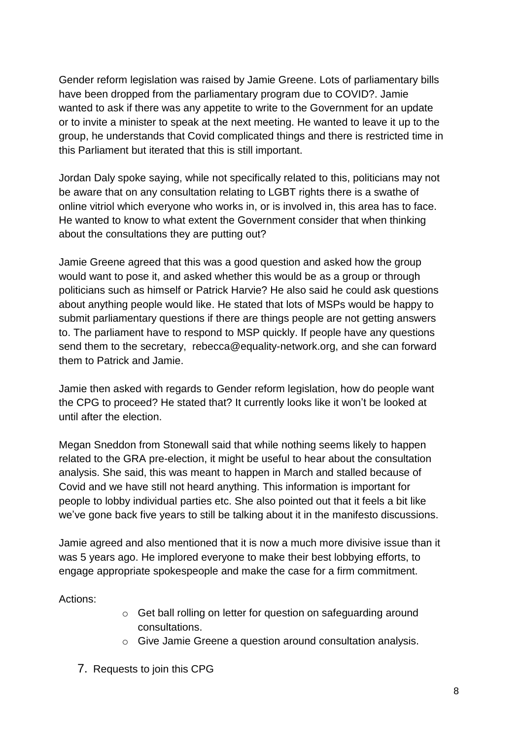Gender reform legislation was raised by Jamie Greene. Lots of parliamentary bills have been dropped from the parliamentary program due to COVID?. Jamie wanted to ask if there was any appetite to write to the Government for an update or to invite a minister to speak at the next meeting. He wanted to leave it up to the group, he understands that Covid complicated things and there is restricted time in this Parliament but iterated that this is still important.

Jordan Daly spoke saying, while not specifically related to this, politicians may not be aware that on any consultation relating to LGBT rights there is a swathe of online vitriol which everyone who works in, or is involved in, this area has to face. He wanted to know to what extent the Government consider that when thinking about the consultations they are putting out?

Jamie Greene agreed that this was a good question and asked how the group would want to pose it, and asked whether this would be as a group or through politicians such as himself or Patrick Harvie? He also said he could ask questions about anything people would like. He stated that lots of MSPs would be happy to submit parliamentary questions if there are things people are not getting answers to. The parliament have to respond to MSP quickly. If people have any questions send them to the secretary, rebecca@equality-network.org, and she can forward them to Patrick and Jamie.

Jamie then asked with regards to Gender reform legislation, how do people want the CPG to proceed? He stated that? It currently looks like it won't be looked at until after the election.

Megan Sneddon from Stonewall said that while nothing seems likely to happen related to the GRA pre-election, it might be useful to hear about the consultation analysis. She said, this was meant to happen in March and stalled because of Covid and we have still not heard anything. This information is important for people to lobby individual parties etc. She also pointed out that it feels a bit like we've gone back five years to still be talking about it in the manifesto discussions.

Jamie agreed and also mentioned that it is now a much more divisive issue than it was 5 years ago. He implored everyone to make their best lobbying efforts, to engage appropriate spokespeople and make the case for a firm commitment.

Actions:

- o Get ball rolling on letter for question on safeguarding around consultations.
- o Give Jamie Greene a question around consultation analysis.
- 7. Requests to join this CPG